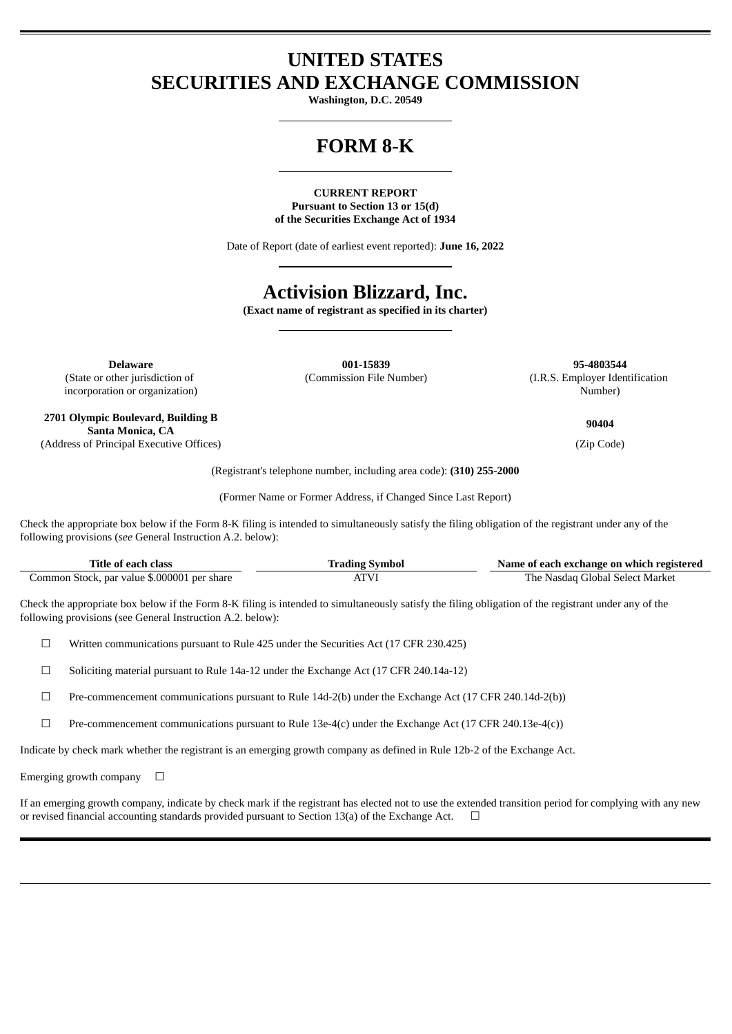## **UNITED STATES SECURITIES AND EXCHANGE COMMISSION**

**Washington, D.C. 20549**

# **FORM 8-K**

#### **CURRENT REPORT Pursuant to Section 13 or 15(d) of the Securities Exchange Act of 1934**

Date of Report (date of earliest event reported): **June 16, 2022**

# **Activision Blizzard, Inc.**

**(Exact name of registrant as specified in its charter)**

(State or other jurisdiction of incorporation or organization)

**2701 Olympic Boulevard, Building B Santa Monica, CA**

**Delaware 001-15839 95-4803544**

(Commission File Number) (I.R.S. Employer Identification Number)

**90404**

(Address of Principal Executive Offices) (Zip Code)

(Registrant's telephone number, including area code): **(310) 255-2000**

(Former Name or Former Address, if Changed Since Last Report)

Check the appropriate box below if the Form 8-K filing is intended to simultaneously satisfy the filing obligation of the registrant under any of the following provisions (*see* General Instruction A.2. below):

| Fitle of each class                            | Symbol<br>radıng | Name of each exchange on which registered         |
|------------------------------------------------|------------------|---------------------------------------------------|
| par value \$.000001 per share<br>Common Stock, |                  | Market<br>The .<br>-Select -<br>Global)<br>Nasdad |

Check the appropriate box below if the Form 8-K filing is intended to simultaneously satisfy the filing obligation of the registrant under any of the following provisions (see General Instruction A.2. below):

☐ Written communications pursuant to Rule 425 under the Securities Act (17 CFR 230.425)

☐ Soliciting material pursuant to Rule 14a-12 under the Exchange Act (17 CFR 240.14a-12)

☐ Pre-commencement communications pursuant to Rule 14d-2(b) under the Exchange Act (17 CFR 240.14d-2(b))

 $\Box$  Pre-commencement communications pursuant to Rule 13e-4(c) under the Exchange Act (17 CFR 240.13e-4(c))

Indicate by check mark whether the registrant is an emerging growth company as defined in Rule 12b-2 of the Exchange Act.

Emerging growth company  $\Box$ 

If an emerging growth company, indicate by check mark if the registrant has elected not to use the extended transition period for complying with any new or revised financial accounting standards provided pursuant to Section 13(a) of the Exchange Act.  $\Box$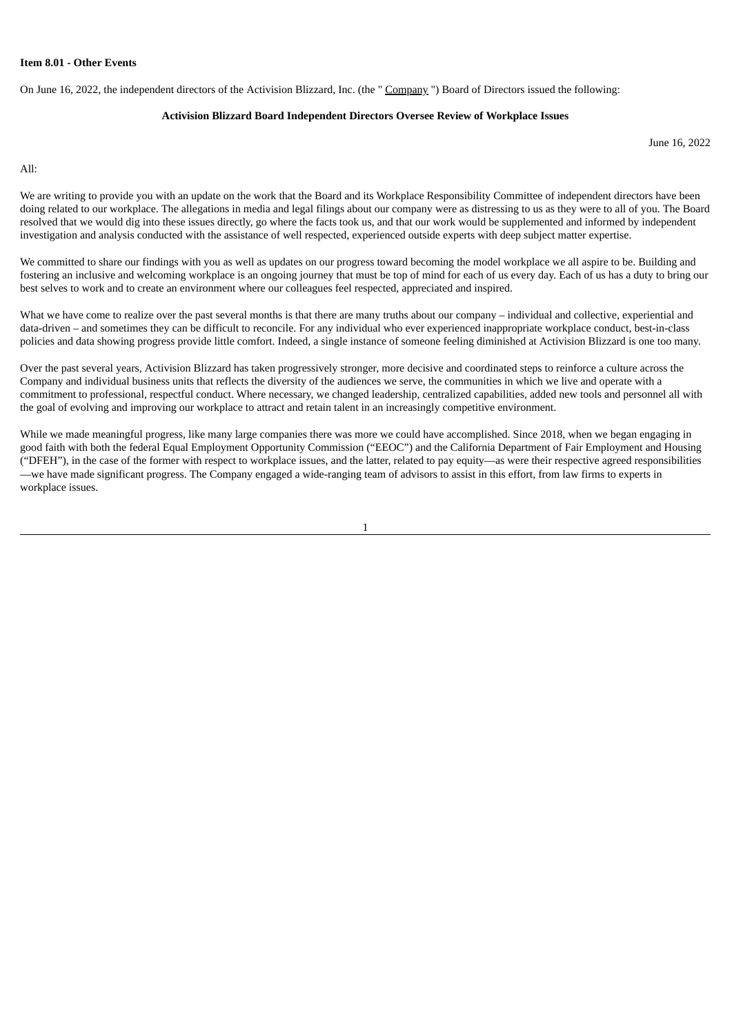#### **Item 8.01 - Other Events**

On June 16, 2022, the independent directors of the Activision Blizzard, Inc. (the " Company ") Board of Directors issued the following:

#### **Activision Blizzard Board Independent Directors Oversee Review of Workplace Issues**

June 16, 2022

All:

We are writing to provide you with an update on the work that the Board and its Workplace Responsibility Committee of independent directors have been doing related to our workplace. The allegations in media and legal filings about our company were as distressing to us as they were to all of you. The Board resolved that we would dig into these issues directly, go where the facts took us, and that our work would be supplemented and informed by independent investigation and analysis conducted with the assistance of well respected, experienced outside experts with deep subject matter expertise.

We committed to share our findings with you as well as updates on our progress toward becoming the model workplace we all aspire to be. Building and fostering an inclusive and welcoming workplace is an ongoing journey that must be top of mind for each of us every day. Each of us has a duty to bring our best selves to work and to create an environment where our colleagues feel respected, appreciated and inspired.

What we have come to realize over the past several months is that there are many truths about our company – individual and collective, experiential and data-driven – and sometimes they can be difficult to reconcile. For any individual who ever experienced inappropriate workplace conduct, best-in-class policies and data showing progress provide little comfort. Indeed, a single instance of someone feeling diminished at Activision Blizzard is one too many.

Over the past several years, Activision Blizzard has taken progressively stronger, more decisive and coordinated steps to reinforce a culture across the Company and individual business units that reflects the diversity of the audiences we serve, the communities in which we live and operate with a commitment to professional, respectful conduct. Where necessary, we changed leadership, centralized capabilities, added new tools and personnel all with the goal of evolving and improving our workplace to attract and retain talent in an increasingly competitive environment.

While we made meaningful progress, like many large companies there was more we could have accomplished. Since 2018, when we began engaging in good faith with both the federal Equal Employment Opportunity Commission ("EEOC") and the California Department of Fair Employment and Housing ("DFEH"), in the case of the former with respect to workplace issues, and the latter, related to pay equity—as were their respective agreed responsibilities —we have made significant progress. The Company engaged a wide-ranging team of advisors to assist in this effort, from law firms to experts in workplace issues.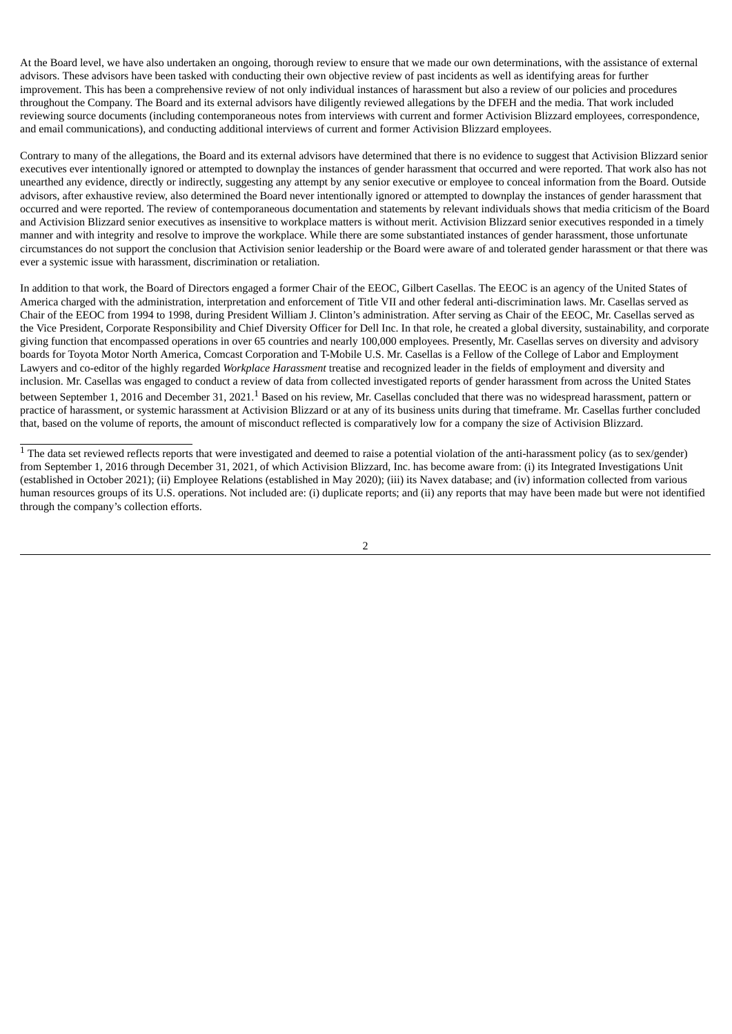At the Board level, we have also undertaken an ongoing, thorough review to ensure that we made our own determinations, with the assistance of external advisors. These advisors have been tasked with conducting their own objective review of past incidents as well as identifying areas for further improvement. This has been a comprehensive review of not only individual instances of harassment but also a review of our policies and procedures throughout the Company. The Board and its external advisors have diligently reviewed allegations by the DFEH and the media. That work included reviewing source documents (including contemporaneous notes from interviews with current and former Activision Blizzard employees, correspondence, and email communications), and conducting additional interviews of current and former Activision Blizzard employees.

Contrary to many of the allegations, the Board and its external advisors have determined that there is no evidence to suggest that Activision Blizzard senior executives ever intentionally ignored or attempted to downplay the instances of gender harassment that occurred and were reported. That work also has not unearthed any evidence, directly or indirectly, suggesting any attempt by any senior executive or employee to conceal information from the Board. Outside advisors, after exhaustive review, also determined the Board never intentionally ignored or attempted to downplay the instances of gender harassment that occurred and were reported. The review of contemporaneous documentation and statements by relevant individuals shows that media criticism of the Board and Activision Blizzard senior executives as insensitive to workplace matters is without merit. Activision Blizzard senior executives responded in a timely manner and with integrity and resolve to improve the workplace. While there are some substantiated instances of gender harassment, those unfortunate circumstances do not support the conclusion that Activision senior leadership or the Board were aware of and tolerated gender harassment or that there was ever a systemic issue with harassment, discrimination or retaliation.

In addition to that work, the Board of Directors engaged a former Chair of the EEOC, Gilbert Casellas. The EEOC is an agency of the United States of America charged with the administration, interpretation and enforcement of Title VII and other federal anti-discrimination laws. Mr. Casellas served as Chair of the EEOC from 1994 to 1998, during President William J. Clinton's administration. After serving as Chair of the EEOC, Mr. Casellas served as the Vice President, Corporate Responsibility and Chief Diversity Officer for Dell Inc. In that role, he created a global diversity, sustainability, and corporate giving function that encompassed operations in over 65 countries and nearly 100,000 employees. Presently, Mr. Casellas serves on diversity and advisory boards for Toyota Motor North America, Comcast Corporation and T-Mobile U.S. Mr. Casellas is a Fellow of the College of Labor and Employment Lawyers and co-editor of the highly regarded *Workplace Harassment* treatise and recognized leader in the fields of employment and diversity and inclusion. Mr. Casellas was engaged to conduct a review of data from collected investigated reports of gender harassment from across the United States between September 1, 2016 and December 31, 2021. $^1$  Based on his review, Mr. Casellas concluded that there was no widespread harassment, pattern or practice of harassment, or systemic harassment at Activision Blizzard or at any of its business units during that timeframe. Mr. Casellas further concluded that, based on the volume of reports, the amount of misconduct reflected is comparatively low for a company the size of Activision Blizzard.

 $\overline{1}$  The data set reviewed reflects reports that were investigated and deemed to raise a potential violation of the anti-harassment policy (as to sex/gender) from September 1, 2016 through December 31, 2021, of which Activision Blizzard, Inc. has become aware from: (i) its Integrated Investigations Unit (established in October 2021); (ii) Employee Relations (established in May 2020); (iii) its Navex database; and (iv) information collected from various human resources groups of its U.S. operations. Not included are: (i) duplicate reports; and (ii) any reports that may have been made but were not identified through the company's collection efforts.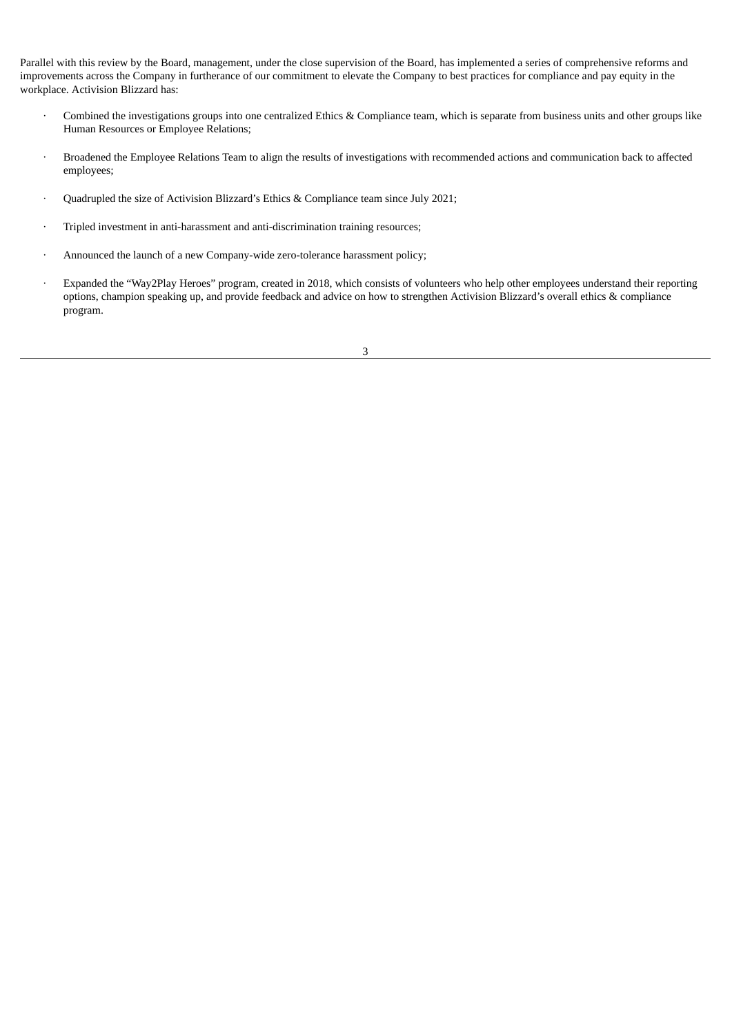Parallel with this review by the Board, management, under the close supervision of the Board, has implemented a series of comprehensive reforms and improvements across the Company in furtherance of our commitment to elevate the Company to best practices for compliance and pay equity in the workplace. Activision Blizzard has:

- · Combined the investigations groups into one centralized Ethics & Compliance team, which is separate from business units and other groups like Human Resources or Employee Relations;
- · Broadened the Employee Relations Team to align the results of investigations with recommended actions and communication back to affected employees;
- · Quadrupled the size of Activision Blizzard's Ethics & Compliance team since July 2021;
- · Tripled investment in anti-harassment and anti-discrimination training resources;
- · Announced the launch of a new Company-wide zero-tolerance harassment policy;
- · Expanded the "Way2Play Heroes" program, created in 2018, which consists of volunteers who help other employees understand their reporting options, champion speaking up, and provide feedback and advice on how to strengthen Activision Blizzard's overall ethics & compliance program.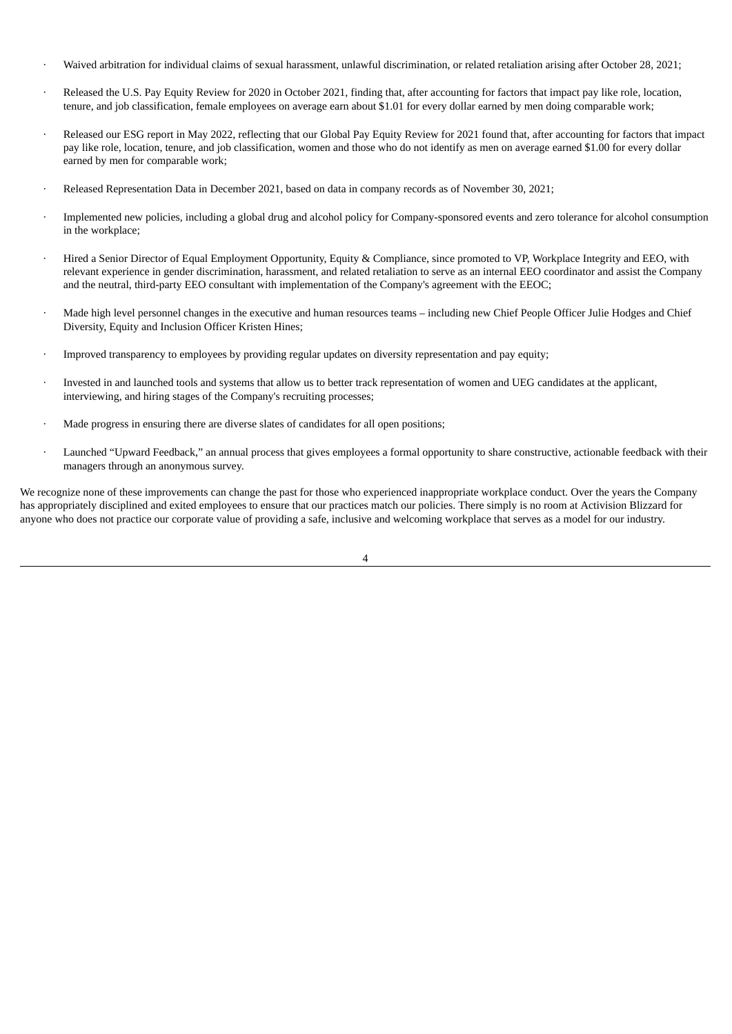- · Waived arbitration for individual claims of sexual harassment, unlawful discrimination, or related retaliation arising after October 28, 2021;
- Released the U.S. Pay Equity Review for 2020 in October 2021, finding that, after accounting for factors that impact pay like role, location, tenure, and job classification, female employees on average earn about \$1.01 for every dollar earned by men doing comparable work;
- Released our ESG report in May 2022, reflecting that our Global Pay Equity Review for 2021 found that, after accounting for factors that impact pay like role, location, tenure, and job classification, women and those who do not identify as men on average earned \$1.00 for every dollar earned by men for comparable work;
- · Released Representation Data in December 2021, based on data in company records as of November 30, 2021;
- · Implemented new policies, including a global drug and alcohol policy for Company-sponsored events and zero tolerance for alcohol consumption in the workplace;
- · Hired a Senior Director of Equal Employment Opportunity, Equity & Compliance, since promoted to VP, Workplace Integrity and EEO, with relevant experience in gender discrimination, harassment, and related retaliation to serve as an internal EEO coordinator and assist the Company and the neutral, third-party EEO consultant with implementation of the Company's agreement with the EEOC;
- Made high level personnel changes in the executive and human resources teams including new Chief People Officer Julie Hodges and Chief Diversity, Equity and Inclusion Officer Kristen Hines;
- · Improved transparency to employees by providing regular updates on diversity representation and pay equity;
- · Invested in and launched tools and systems that allow us to better track representation of women and UEG candidates at the applicant, interviewing, and hiring stages of the Company's recruiting processes;
- Made progress in ensuring there are diverse slates of candidates for all open positions;
- Launched "Upward Feedback," an annual process that gives employees a formal opportunity to share constructive, actionable feedback with their managers through an anonymous survey.

We recognize none of these improvements can change the past for those who experienced inappropriate workplace conduct. Over the years the Company has appropriately disciplined and exited employees to ensure that our practices match our policies. There simply is no room at Activision Blizzard for anyone who does not practice our corporate value of providing a safe, inclusive and welcoming workplace that serves as a model for our industry.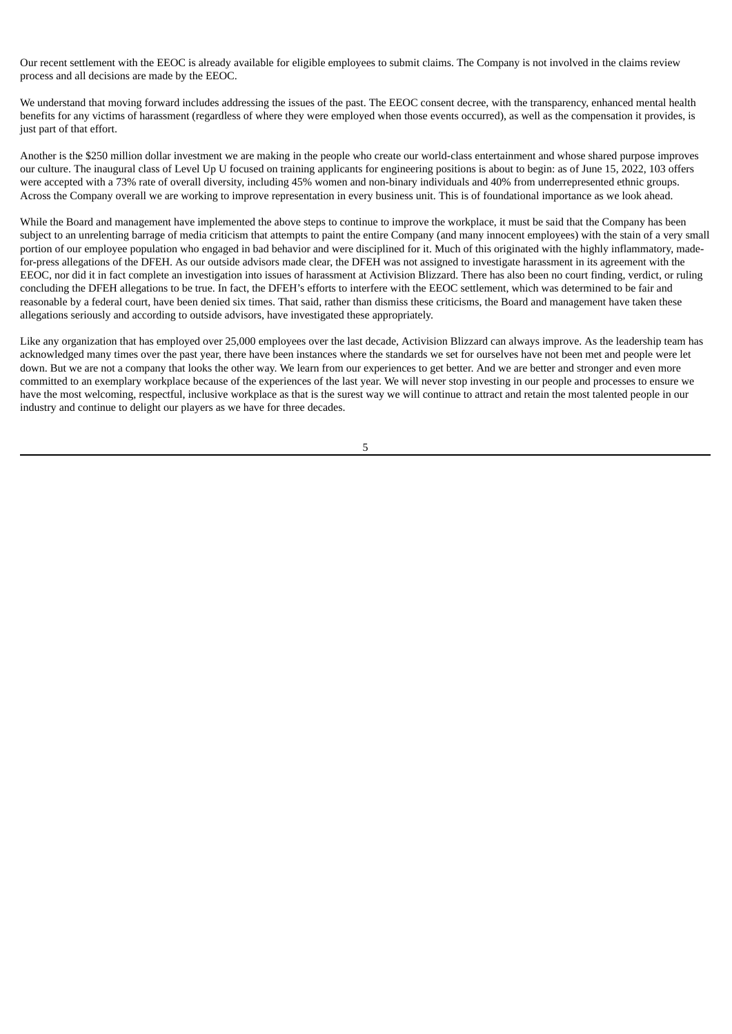Our recent settlement with the EEOC is already available for eligible employees to submit claims. The Company is not involved in the claims review process and all decisions are made by the EEOC.

We understand that moving forward includes addressing the issues of the past. The EEOC consent decree, with the transparency, enhanced mental health benefits for any victims of harassment (regardless of where they were employed when those events occurred), as well as the compensation it provides, is just part of that effort.

Another is the \$250 million dollar investment we are making in the people who create our world-class entertainment and whose shared purpose improves our culture. The inaugural class of Level Up U focused on training applicants for engineering positions is about to begin: as of June 15, 2022, 103 offers were accepted with a 73% rate of overall diversity, including 45% women and non-binary individuals and 40% from underrepresented ethnic groups. Across the Company overall we are working to improve representation in every business unit. This is of foundational importance as we look ahead.

While the Board and management have implemented the above steps to continue to improve the workplace, it must be said that the Company has been subject to an unrelenting barrage of media criticism that attempts to paint the entire Company (and many innocent employees) with the stain of a very small portion of our employee population who engaged in bad behavior and were disciplined for it. Much of this originated with the highly inflammatory, madefor-press allegations of the DFEH. As our outside advisors made clear, the DFEH was not assigned to investigate harassment in its agreement with the EEOC, nor did it in fact complete an investigation into issues of harassment at Activision Blizzard. There has also been no court finding, verdict, or ruling concluding the DFEH allegations to be true. In fact, the DFEH's efforts to interfere with the EEOC settlement, which was determined to be fair and reasonable by a federal court, have been denied six times. That said, rather than dismiss these criticisms, the Board and management have taken these allegations seriously and according to outside advisors, have investigated these appropriately.

Like any organization that has employed over 25,000 employees over the last decade, Activision Blizzard can always improve. As the leadership team has acknowledged many times over the past year, there have been instances where the standards we set for ourselves have not been met and people were let down. But we are not a company that looks the other way. We learn from our experiences to get better. And we are better and stronger and even more committed to an exemplary workplace because of the experiences of the last year. We will never stop investing in our people and processes to ensure we have the most welcoming, respectful, inclusive workplace as that is the surest way we will continue to attract and retain the most talented people in our industry and continue to delight our players as we have for three decades.